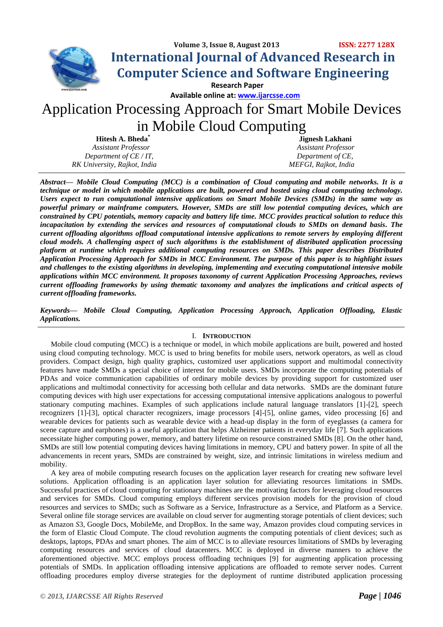

in Mobile Cloud Computing

| Hitesh A. Bheda <sup>®</sup> | Jignesh Lakhani      |
|------------------------------|----------------------|
| <b>Assistant Professor</b>   | Assistant Professor  |
| Department of $CE/IT$ ,      | Department of CE,    |
| RK University, Rajkot, India | MEFGI, Rajkot, India |

j *Abstract— Mobile Cloud Computing (MCC) is a combination of Cloud computing and mobile networks. It is a technique or model in which mobile applications are built, powered and hosted using cloud computing technology. Users expect to run computational intensive applications on Smart Mobile Devices (SMDs) in the same way as powerful primary or mainframe computers. However, SMDs are still low potential computing devices, which are constrained by CPU potentials, memory capacity and battery life time. MCC provides practical solution to reduce this incapacitation by extending the services and resources of computational clouds to SMDs on demand basis. The current offloading algorithms offload computational intensive applications to remote servers by employing different cloud models. A challenging aspect of such algorithms is the establishment of distributed application processing platform at runtime which requires additional computing resources on SMDs. This paper describes Distributed Application Processing Approach for SMDs in MCC Environment. The purpose of this paper is to highlight issues and challenges to the existing algorithms in developing, implementing and executing computational intensive mobile applications within MCC environment. It proposes taxonomy of current Application Processing Approaches, reviews current offloading frameworks by using thematic taxonomy and analyzes the implications and critical aspects of current offloading frameworks.*

*Keywords— Mobile Cloud Computing, Application Processing Approach, Application Offloading, Elastic Applications.*

# I. **INTRODUCTION**

Mobile cloud computing (MCC) is a technique or model, in which mobile applications are built, powered and hosted using cloud computing technology. MCC is used to bring benefits for mobile users, network operators, as well as cloud providers. Compact design, high quality graphics, customized user applications support and multimodal connectivity features have made SMDs a special choice of interest for mobile users. SMDs incorporate the computing potentials of PDAs and voice communication capabilities of ordinary mobile devices by providing support for customized user applications and multimodal connectivity for accessing both cellular and data networks. SMDs are the dominant future computing devices with high user expectations for accessing computational intensive applications analogous to powerful stationary computing machines. Examples of such applications include natural language translators [1]-[2], speech recognizers [1]-[3], optical character recognizers, image processors [4]-[5], online games, video processing [6] and wearable devices for patients such as wearable device with a head-up display in the form of eyeglasses (a camera for scene capture and earphones) is a useful application that helps Alzheimer patients in everyday life [7]. Such applications necessitate higher computing power, memory, and battery lifetime on resource constrained SMDs [8]. On the other hand, SMDs are still low potential computing devices having limitations in memory, CPU and battery power. In spite of all the advancements in recent years, SMDs are constrained by weight, size, and intrinsic limitations in wireless medium and mobility.

A key area of mobile computing research focuses on the application layer research for creating new software level solutions. Application offloading is an application layer solution for alleviating resources limitations in SMDs. Successful practices of cloud computing for stationary machines are the motivating factors for leveraging cloud resources and services for SMDs. Cloud computing employs different services provision models for the provision of cloud resources and services to SMDs; such as Software as a Service, Infrastructure as a Service, and Platform as a Service. Several online file storage services are available on cloud server for augmenting storage potentials of client devices; such as Amazon *S*3, Google Docs, MobileMe, and DropBox. In the same way, Amazon provides cloud computing services in the form of Elastic Cloud Compute. The cloud revolution augments the computing potentials of client devices; such as desktops, laptops, PDAs and smart phones. The aim of MCC is to alleviate resources limitations of SMDs by leveraging computing resources and services of cloud datacenters. MCC is deployed in diverse manners to achieve the aforementioned objective. MCC employs process offloading techniques [9] for augmenting application processing potentials of SMDs. In application offloading intensive applications are offloaded to remote server nodes. Current offloading procedures employ diverse strategies for the deployment of runtime distributed application processing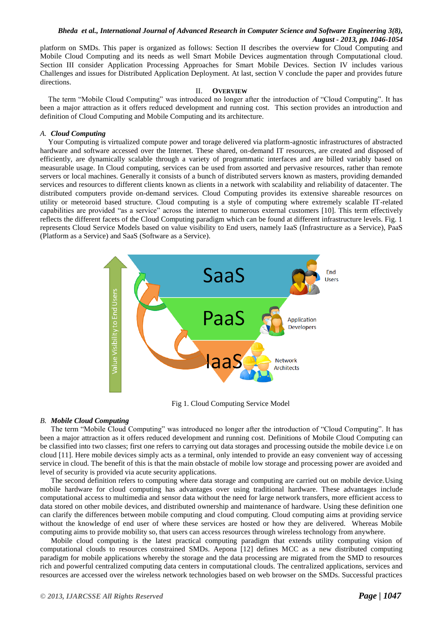platform on SMDs. This paper is organized as follows: Section II describes the overview for Cloud Computing and Mobile Cloud Computing and its needs as well Smart Mobile Devices augmentation through Computational cloud. Section III consider Application Processing Approaches for Smart Mobile Devices. Section IV includes various Challenges and issues for Distributed Application Deployment. At last, section V conclude the paper and provides future directions.

#### II. **OVERVIEW**

The term "Mobile Cloud Computing" was introduced no longer after the introduction of "Cloud Computing". It has been a major attraction as it offers reduced development and running cost. This section provides an introduction and definition of Cloud Computing and Mobile Computing and its architecture.

### *A. Cloud Computing*

Your Computing is virtualized compute power and torage delivered via platform-agnostic infrastructures of abstracted hardware and software accessed over the Internet. These shared, on-demand IT resources, are created and disposed of efficiently, are dynamically scalable through a variety of programmatic interfaces and are billed variably based on measurable usage. In Cloud computing, services can be used from assorted and pervasive resources, rather than remote servers or local machines. Generally it consists of a bunch of distributed servers known as masters, providing demanded services and resources to different clients known as clients in a network with scalability and reliability of datacenter. The distributed computers provide on-demand services. Cloud Computing provides its extensive shareable resources on utility or meteoroid based structure. Cloud computing is a style of computing where extremely scalable IT-related capabilities are provided "as a service" across the internet to numerous external customers [10]. This term effectively reflects the different facets of the Cloud Computing paradigm which can be found at different infrastructure levels. Fig. 1 represents Cloud Service Models based on value visibility to End users, namely IaaS (Infrastructure as a Service), PaaS (Platform as a Service) and SaaS (Software as a Service).



Fig 1. Cloud Computing Service Model

# *B. Mobile Cloud Computing*

The term "Mobile Cloud Computing" was introduced no longer after the introduction of "Cloud Computing". It has been a major attraction as it offers reduced development and running cost. Definitions of Mobile Cloud Computing can be classified into two classes; first one refers to carrying out data storages and processing outside the mobile device i.e on cloud [11]. Here mobile devices simply acts as a terminal, only intended to provide an easy convenient way of accessing service in cloud. The benefit of this is that the main obstacle of mobile low storage and processing power are avoided and level of security is provided via acute security applications.

The second definition refers to computing where data storage and computing are carried out on mobile device.Using mobile hardware for cloud computing has advantages over using traditional hardware. These advantages include computational access to multimedia and sensor data without the need for large network transfers, more efficient access to data stored on other mobile devices, and distributed ownership and maintenance of hardware. Using these definition one can clarify the differences between mobile computing and cloud computing. Cloud computing aims at providing service without the knowledge of end user of where these services are hosted or how they are delivered. Whereas Mobile computing aims to provide mobility so, that users can access resources through wireless technology from anywhere.

Mobile cloud computing is the latest practical computing paradigm that extends utility computing vision of computational clouds to resources constrained SMDs. Aepona [12] defines MCC as a new distributed computing paradigm for mobile applications whereby the storage and the data processing are migrated from the SMD to resources rich and powerful centralized computing data centers in computational clouds. The centralized applications, services and resources are accessed over the wireless network technologies based on web browser on the SMDs. Successful practices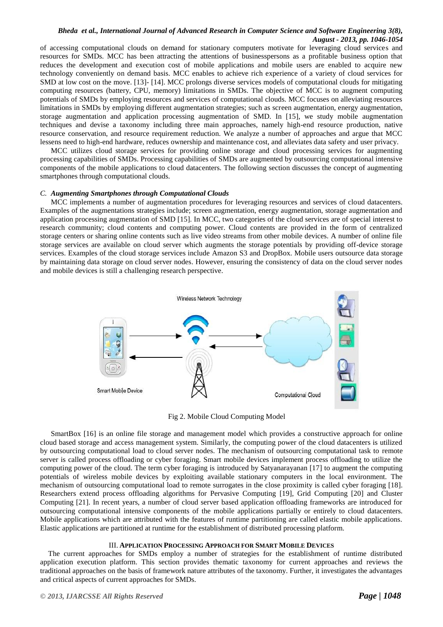of accessing computational clouds on demand for stationary computers motivate for leveraging cloud services and resources for SMDs. MCC has been attracting the attentions of businesspersons as a profitable business option that reduces the development and execution cost of mobile applications and mobile users are enabled to acquire new technology conveniently on demand basis. MCC enables to achieve rich experience of a variety of cloud services for SMD at low cost on the move. [13]- [14]. MCC prolongs diverse services models of computational clouds for mitigating computing resources (battery, CPU, memory) limitations in SMDs. The objective of MCC is to augment computing potentials of SMDs by employing resources and services of computational clouds. MCC focuses on alleviating resources limitations in SMDs by employing different augmentation strategies; such as screen augmentation, energy augmentation, storage augmentation and application processing augmentation of SMD. In [15], we study mobile augmentation techniques and devise a taxonomy including three main approaches, namely high-end resource production, native resource conservation, and resource requirement reduction. We analyze a number of approaches and argue that MCC lessens need to high-end hardware, reduces ownership and maintenance cost, and alleviates data safety and user privacy.

MCC utilizes cloud storage services for providing online storage and cloud processing services for augmenting processing capabilities of SMDs. Processing capabilities of SMDs are augmented by outsourcing computational intensive components of the mobile applications to cloud datacenters. The following section discusses the concept of augmenting smartphones through computational clouds.

### *C. Augmenting Smartphones through Computational Clouds*

MCC implements a number of augmentation procedures for leveraging resources and services of cloud datacenters. Examples of the augmentations strategies include; screen augmentation, energy augmentation, storage augmentation and application processing augmentation of SMD [15]. In MCC, two categories of the cloud services are of special interest to research community; cloud contents and computing power. Cloud contents are provided in the form of centralized storage centers or sharing online contents such as live video streams from other mobile devices. A number of online file storage services are available on cloud server which augments the storage potentials by providing off-device storage services. Examples of the cloud storage services include Amazon S3 and DropBox. Mobile users outsource data storage by maintaining data storage on cloud server nodes. However, ensuring the consistency of data on the cloud server nodes and mobile devices is still a challenging research perspective.



Fig 2. Mobile Cloud Computing Model

SmartBox [16] is an online file storage and management model which provides a constructive approach for online cloud based storage and access management system. Similarly, the computing power of the cloud datacenters is utilized by outsourcing computational load to cloud server nodes. The mechanism of outsourcing computational task to remote server is called process offloading or cyber foraging. Smart mobile devices implement process offloading to utilize the computing power of the cloud. The term cyber foraging is introduced by Satyanarayanan [17] to augment the computing potentials of wireless mobile devices by exploiting available stationary computers in the local environment. The mechanism of outsourcing computational load to remote surrogates in the close proximity is called cyber foraging [18]. Researchers extend process offloading algorithms for Pervasive Computing [19], Grid Computing [20] and Cluster Computing [21]. In recent years, a number of cloud server based application offloading frameworks are introduced for outsourcing computational intensive components of the mobile applications partially or entirely to cloud datacenters. Mobile applications which are attributed with the features of runtime partitioning are called elastic mobile applications. Elastic applications are partitioned at runtime for the establishment of distributed processing platform.

#### III. **APPLICATION PROCESSING APPROACH FOR SMART MOBILE DEVICES**

The current approaches for SMDs employ a number of strategies for the establishment of runtime distributed application execution platform. This section provides thematic taxonomy for current approaches and reviews the traditional approaches on the basis of framework nature attributes of the taxonomy. Further, it investigates the advantages and critical aspects of current approaches for SMDs.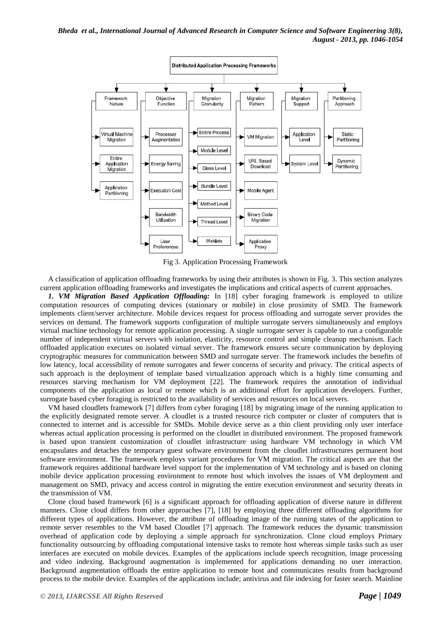

Fig 3. Application Processing Framework

A classification of application offloading frameworks by using their attributes is shown in Fig. 3. This section analyzes current application offloading frameworks and investigates the implications and critical aspects of current approaches.

*1. VM Migration Based Application Offloading:* In [18] cyber foraging framework is employed to utilize computation resources of computing devices (stationary or mobile) in close proximity of SMD. The framework implements client/server architecture. Mobile devices request for process offloading and surrogate server provides the services on demand. The framework supports configuration of multiple surrogate servers simultaneously and employs virtual machine technology for remote application processing. A single surrogate server is capable to run a configurable number of independent virtual servers with isolation, elasticity, resource control and simple cleanup mechanism. Each offloaded application executes on isolated virtual server. The framework ensures secure communication by deploying cryptographic measures for communication between SMD and surrogate server. The framework includes the benefits of low latency, local accessibility of remote surrogates and fewer concerns of security and privacy. The critical aspects of such approach is the deployment of template based virtualization approach which is a highly time consuming and resources starving mechanism for VM deployment [22]. The framework requires the annotation of individual components of the application as local or remote which is an additional effort for application developers. Further, surrogate based cyber foraging is restricted to the availability of services and resources on local servers.

VM based cloudlets framework [7] differs from cyber foraging [18] by migrating image of the running application to the explicitly designated remote server. A cloudlet is a trusted resource rich computer or cluster of computers that is connected to internet and is accessible for SMDs. Mobile device serve as a thin client providing only user interface whereas actual application processing is performed on the cloudlet in distributed environment. The proposed framework is based upon transient customization of cloudlet infrastructure using hardware VM technology in which VM encapsulates and detaches the temporary guest software environment from the cloudlet infrastructures permanent host software environment. The framework employs variant procedures for VM migration. The critical aspects are that the framework requires additional hardware level support for the implementation of VM technology and is based on cloning mobile device application processing environment to remote host which involves the issues of VM deployment and management on SMD, privacy and access control in migrating the entire execution environment and security threats in the transmission of VM.

Clone cloud based framework [6] is a significant approach for offloading application of diverse nature in different manners. Clone cloud differs from other approaches [7], [18] by employing three different offloading algorithms for different types of applications. However, the attribute of offloading image of the running states of the application to remote server resembles to the VM based Cloudlet [7] approach. The framework reduces the dynamic transmission overhead of application code by deploying a simple approach for synchronization. Clone cloud employs Primary functionality outsourcing by offloading computational intensive tasks to remote host whereas simple tasks such as user interfaces are executed on mobile devices. Examples of the applications include speech recognition, image processing and video indexing. Background augmentation is implemented for applications demanding no user interaction. Background augmentation offloads the entire application to remote host and communicates results from background process to the mobile device. Examples of the applications include; antivirus and file indexing for faster search. Mainline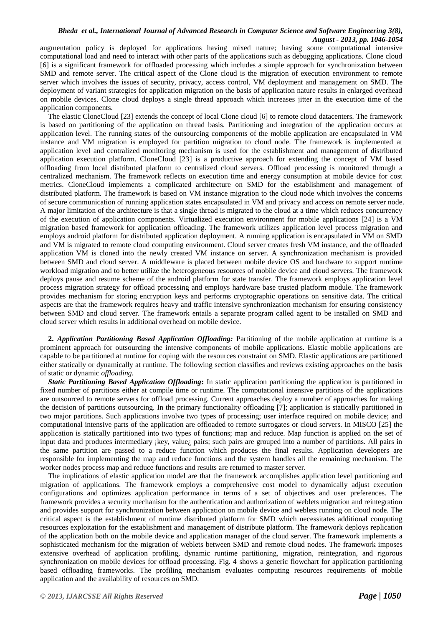augmentation policy is deployed for applications having mixed nature; having some computational intensive computational load and need to interact with other parts of the applications such as debugging applications. Clone cloud [6] is a significant framework for offloaded processing which includes a simple approach for synchronization between SMD and remote server. The critical aspect of the Clone cloud is the migration of execution environment to remote server which involves the issues of security, privacy, access control, VM deployment and management on SMD. The deployment of variant strategies for application migration on the basis of application nature results in enlarged overhead on mobile devices. Clone cloud deploys a single thread approach which increases jitter in the execution time of the application components.

The elastic CloneCloud [23] extends the concept of local Clone cloud [6] to remote cloud datacenters. The framework is based on partitioning of the application on thread basis. Partitioning and integration of the application occurs at application level. The running states of the outsourcing components of the mobile application are encapsulated in VM instance and VM migration is employed for partition migration to cloud node. The framework is implemented at application level and centralized monitoring mechanism is used for the establishment and management of distributed application execution platform. CloneCloud [23] is a productive approach for extending the concept of VM based offloading from local distributed platform to centralized cloud servers. Offload processing is monitored through a centralized mechanism. The framework reflects on execution time and energy consumption at mobile device for cost metrics. CloneCloud implements a complicated architecture on SMD for the establishment and management of distributed platform. The framework is based on VM instance migration to the cloud node which involves the concerns of secure communication of running application states encapsulated in VM and privacy and access on remote server node. A major limitation of the architecture is that a single thread is migrated to the cloud at a time which reduces concurrency of the execution of application components. Virtualized execution environment for mobile applications [24] is a VM migration based framework for application offloading. The framework utilizes application level process migration and employs android platform for distributed application deployment. A running application is encapsulated in VM on SMD and VM is migrated to remote cloud computing environment. Cloud server creates fresh VM instance, and the offloaded application VM is cloned into the newly created VM instance on server. A synchronization mechanism is provided between SMD and cloud server. A middleware is placed between mobile device OS and hardware to support runtime workload migration and to better utilize the heterogeneous resources of mobile device and cloud servers. The framework deploys pause and resume scheme of the android platform for state transfer. The framework employs application level process migration strategy for offload processing and employs hardware base trusted platform module. The framework provides mechanism for storing encryption keys and performs cryptographic operations on sensitive data. The critical aspects are that the framework requires heavy and traffic intensive synchronization mechanism for ensuring consistency between SMD and cloud server. The framework entails a separate program called agent to be installed on SMD and cloud server which results in additional overhead on mobile device.

**2.** *Application Partitioning Based Application Offloading:* Partitioning of the mobile application at runtime is a prominent approach for outsourcing the intensive components of mobile applications. Elastic mobile applications are capable to be partitioned at runtime for coping with the resources constraint on SMD. Elastic applications are partitioned either statically or dynamically at runtime. The following section classifies and reviews existing approaches on the basis of static or dynamic *offloading.*

*Static Partitioning Based Application Offloading***:** In static application partitioning the application is partitioned in fixed number of partitions either at compile time or runtime. The computational intensive partitions of the applications are outsourced to remote servers for offload processing. Current approaches deploy a number of approaches for making the decision of partitions outsourcing. In the primary functionality offloading [7]; application is statically partitioned in two major partitions. Such applications involve two types of processing; user interface required on mobile device; and computational intensive parts of the application are offloaded to remote surrogates or cloud servers. In MISCO [25] the application is statically partitioned into two types of functions; map and reduce. Map function is applied on the set of input data and produces intermediary *ikey*, value<sub>*i*</sub> pairs; such pairs are grouped into a number of partitions. All pairs in the same partition are passed to a reduce function which produces the final results. Application developers are responsible for implementing the map and reduce functions and the system handles all the remaining mechanism. The worker nodes process map and reduce functions and results are returned to master server.

The implications of elastic application model are that the framework accomplishes application level partitioning and migration of applications. The framework employs a comprehensive cost model to dynamically adjust execution configurations and optimizes application performance in terms of a set of objectives and user preferences. The framework provides a security mechanism for the authentication and authorization of weblets migration and reintegration and provides support for synchronization between application on mobile device and weblets running on cloud node. The critical aspect is the establishment of runtime distributed platform for SMD which necessitates additional computing resources exploitation for the establishment and management of distribute platform. The framework deploys replication of the application both on the mobile device and application manager of the cloud server. The framework implements a sophisticated mechanism for the migration of weblets between SMD and remote cloud nodes. The framework imposes extensive overhead of application profiling, dynamic runtime partitioning, migration, reintegration, and rigorous synchronization on mobile devices for offload processing. Fig. 4 shows a generic flowchart for application partitioning based offloading frameworks. The profiling mechanism evaluates computing resources requirements of mobile application and the availability of resources on SMD.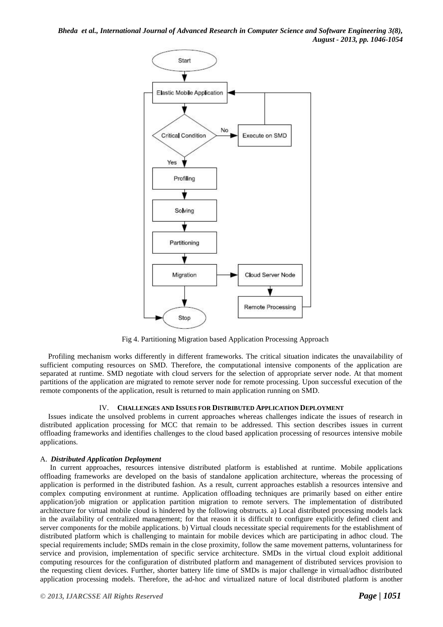

Fig 4. Partitioning Migration based Application Processing Approach

Profiling mechanism works differently in different frameworks. The critical situation indicates the unavailability of sufficient computing resources on SMD. Therefore, the computational intensive components of the application are separated at runtime. SMD negotiate with cloud servers for the selection of appropriate server node. At that moment partitions of the application are migrated to remote server node for remote processing. Upon successful execution of the remote components of the application, result is returned to main application running on SMD.

# IV. **CHALLENGES AND ISSUES FOR DISTRIBUTED APPLICATION DEPLOYMENT**

Issues indicate the unsolved problems in current approaches whereas challenges indicate the issues of research in distributed application processing for MCC that remain to be addressed. This section describes issues in current offloading frameworks and identifies challenges to the cloud based application processing of resources intensive mobile applications.

#### A. *Distributed Application Deployment*

In current approaches, resources intensive distributed platform is established at runtime. Mobile applications offloading frameworks are developed on the basis of standalone application architecture, whereas the processing of application is performed in the distributed fashion. As a result, current approaches establish a resources intensive and complex computing environment at runtime. Application offloading techniques are primarily based on either entire application/job migration or application partition migration to remote servers. The implementation of distributed architecture for virtual mobile cloud is hindered by the following obstructs. a) Local distributed processing models lack in the availability of centralized management; for that reason it is difficult to configure explicitly defined client and server components for the mobile applications. b) Virtual clouds necessitate special requirements for the establishment of distributed platform which is challenging to maintain for mobile devices which are participating in adhoc cloud. The special requirements include; SMDs remain in the close proximity, follow the same movement patterns, voluntariness for service and provision, implementation of specific service architecture. SMDs in the virtual cloud exploit additional computing resources for the configuration of distributed platform and management of distributed services provision to the requesting client devices. Further, shorter battery life time of SMDs is major challenge in virtual/adhoc distributed application processing models. Therefore, the ad-hoc and virtualized nature of local distributed platform is another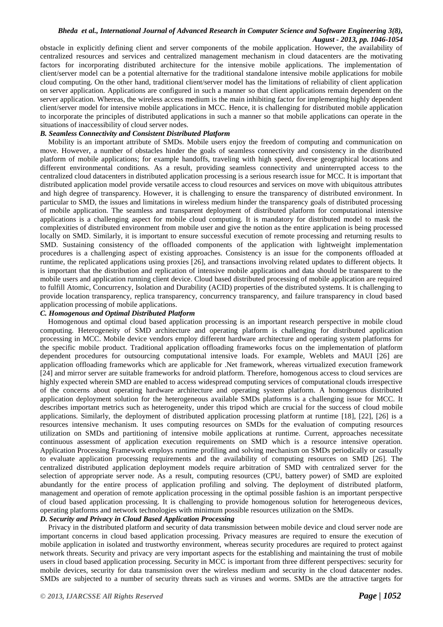obstacle in explicitly defining client and server components of the mobile application. However, the availability of centralized resources and services and centralized management mechanism in cloud datacenters are the motivating factors for incorporating distributed architecture for the intensive mobile applications. The implementation of client/server model can be a potential alternative for the traditional standalone intensive mobile applications for mobile cloud computing. On the other hand, traditional client/server model has the limitations of reliability of client application on server application. Applications are configured in such a manner so that client applications remain dependent on the server application. Whereas, the wireless access medium is the main inhibiting factor for implementing highly dependent client/server model for intensive mobile applications in MCC. Hence, it is challenging for distributed mobile application to incorporate the principles of distributed applications in such a manner so that mobile applications can operate in the situations of inaccessibility of cloud server nodes.

# *B. Seamless Connectivity and Consistent Distributed Platform*

Mobility is an important attribute of SMDs. Mobile users enjoy the freedom of computing and communication on move. However, a number of obstacles hinder the goals of seamless connectivity and consistency in the distributed platform of mobile applications; for example handoffs, traveling with high speed, diverse geographical locations and different environmental conditions. As a result, providing seamless connectivity and uninterrupted access to the centralized cloud datacenters in distributed application processing is a serious research issue for MCC. It is important that distributed application model provide versatile access to cloud resources and services on move with ubiquitous attributes and high degree of transparency. However, it is challenging to ensure the transparency of distributed environment. In particular to SMD, the issues and limitations in wireless medium hinder the transparency goals of distributed processing of mobile application. The seamless and transparent deployment of distributed platform for computational intensive applications is a challenging aspect for mobile cloud computing. It is mandatory for distributed model to mask the complexities of distributed environment from mobile user and give the notion as the entire application is being processed locally on SMD. Similarly, it is important to ensure successful execution of remote processing and returning results to SMD. Sustaining consistency of the offloaded components of the application with lightweight implementation procedures is a challenging aspect of existing approaches. Consistency is an issue for the components offloaded at runtime, the replicated applications using proxies [26], and transactions involving related updates to different objects. It is important that the distribution and replication of intensive mobile applications and data should be transparent to the mobile users and application running client device. Cloud based distributed processing of mobile application are required to fulfill Atomic, Concurrency, Isolation and Durability (ACID) properties of the distributed systems. It is challenging to provide location transparency, replica transparency, concurrency transparency, and failure transparency in cloud based application processing of mobile applications.

## *C. Homogenous and Optimal Distributed Platform*

Homogenous and optimal cloud based application processing is an important research perspective in mobile cloud computing. Heterogeneity of SMD architecture and operating platform is challenging for distributed application processing in MCC. Mobile device vendors employ different hardware architecture and operating system platforms for the specific mobile product. Traditional application offloading frameworks focus on the implementation of platform dependent procedures for outsourcing computational intensive loads. For example, Weblets and MAUI [26] are application offloading frameworks which are applicable for .Net framework, whereas virtualized execution framework [24] and mirror server are suitable frameworks for android platform. Therefore, homogenous access to cloud services are highly expected wherein SMD are enabled to access widespread computing services of computational clouds irrespective of the concerns about operating hardware architecture and operating system platform. A homogenous distributed application deployment solution for the heterogeneous available SMDs platforms is a challenging issue for MCC. It describes important metrics such as heterogeneity, under this tripod which are crucial for the success of cloud mobile applications. Similarly, the deployment of distributed application processing platform at runtime [18], [22], [26] is a resources intensive mechanism. It uses computing resources on SMDs for the evaluation of computing resources utilization on SMDs and partitioning of intensive mobile applications at runtime. Current, approaches necessitate continuous assessment of application execution requirements on SMD which is a resource intensive operation. Application Processing Framework employs runtime profiling and solving mechanism on SMDs periodically or casually to evaluate application processing requirements and the availability of computing resources on SMD [26]. The centralized distributed application deployment models require arbitration of SMD with centralized server for the selection of appropriate server node. As a result, computing resources (CPU, battery power) of SMD are exploited abundantly for the entire process of application profiling and solving. The deployment of distributed platform, management and operation of remote application processing in the optimal possible fashion is an important perspective of cloud based application processing. It is challenging to provide homogenous solution for heterogeneous devices, operating platforms and network technologies with minimum possible resources utilization on the SMDs.

# *D. Security and Privacy in Cloud Based Application Processing*

Privacy in the distributed platform and security of data transmission between mobile device and cloud server node are important concerns in cloud based application processing. Privacy measures are required to ensure the execution of mobile application in isolated and trustworthy environment, whereas security procedures are required to protect against network threats. Security and privacy are very important aspects for the establishing and maintaining the trust of mobile users in cloud based application processing. Security in MCC is important from three different perspectives: security for mobile devices, security for data transmission over the wireless medium and security in the cloud datacenter nodes. SMDs are subjected to a number of security threats such as viruses and worms. SMDs are the attractive targets for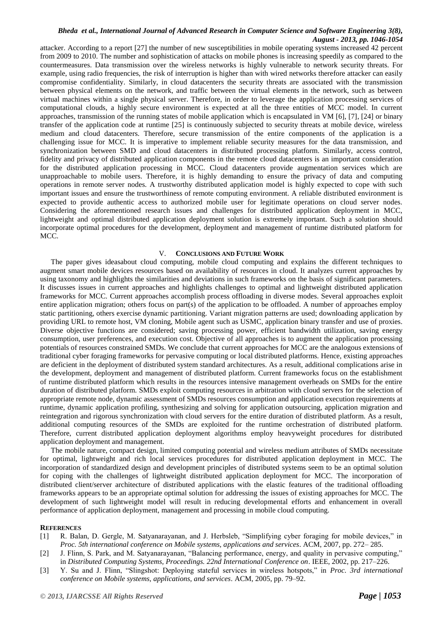attacker. According to a report [27] the number of new susceptibilities in mobile operating systems increased 42 percent from 2009 to 2010. The number and sophistication of attacks on mobile phones is increasing speedily as compared to the countermeasures. Data transmission over the wireless networks is highly vulnerable to network security threats. For example, using radio frequencies, the risk of interruption is higher than with wired networks therefore attacker can easily compromise confidentiality. Similarly, in cloud datacenters the security threats are associated with the transmission between physical elements on the network, and traffic between the virtual elements in the network, such as between virtual machines within a single physical server. Therefore, in order to leverage the application processing services of computational clouds, a highly secure environment is expected at all the three entities of MCC model. In current approaches, transmission of the running states of mobile application which is encapsulated in VM [6], [7], [24] or binary transfer of the application code at runtime [25] is continuously subjected to security threats at mobile device, wireless medium and cloud datacenters. Therefore, secure transmission of the entire components of the application is a challenging issue for MCC. It is imperative to implement reliable security measures for the data transmission, and synchronization between SMD and cloud datacenters in distributed processing platform. Similarly, access control, fidelity and privacy of distributed application components in the remote cloud datacenters is an important consideration for the distributed application processing in MCC. Cloud datacenters provide augmentation services which are unapproachable to mobile users. Therefore, it is highly demanding to ensure the privacy of data and computing operations in remote server nodes. A trustworthy distributed application model is highly expected to cope with such important issues and ensure the trustworthiness of remote computing environment. A reliable distributed environment is expected to provide authentic access to authorized mobile user for legitimate operations on cloud server nodes. Considering the aforementioned research issues and challenges for distributed application deployment in MCC, lightweight and optimal distributed application deployment solution is extremely important. Such a solution should incorporate optimal procedures for the development, deployment and management of runtime distributed platform for MCC.

### V. **CONCLUSIONS AND FUTURE WORK**

The paper gives ideasabout cloud computing, mobile cloud computing and explains the different techniques to augment smart mobile devices resources based on availability of resources in cloud. It analyzes current approaches by using taxonomy and highlights the similarities and deviations in such frameworks on the basis of significant parameters. It discusses issues in current approaches and highlights challenges to optimal and lightweight distributed application frameworks for MCC. Current approaches accomplish process offloading in diverse modes. Several approaches exploit entire application migration; others focus on part(s) of the application to be offloaded. A number of approaches employ static partitioning, others exercise dynamic partitioning. Variant migration patterns are used; downloading application by providing URL to remote host, VM cloning, Mobile agent such as USMC, application binary transfer and use of proxies. Diverse objective functions are considered; saving processing power, efficient bandwidth utilization, saving energy consumption, user preferences, and execution cost. Objective of all approaches is to augment the application processing potentials of resources constrained SMDs. We conclude that current approaches for MCC are the analogous extensions of traditional cyber foraging frameworks for pervasive computing or local distributed platforms. Hence, existing approaches are deficient in the deployment of distributed system standard architectures. As a result, additional complications arise in the development, deployment and management of distributed platform. Current frameworks focus on the establishment of runtime distributed platform which results in the resources intensive management overheads on SMDs for the entire duration of distributed platform. SMDs exploit computing resources in arbitration with cloud servers for the selection of appropriate remote node, dynamic assessment of SMDs resources consumption and application execution requirements at runtime, dynamic application profiling, synthesizing and solving for application outsourcing, application migration and reintegration and rigorous synchronization with cloud servers for the entire duration of distributed platform. As a result, additional computing resources of the SMDs are exploited for the runtime orchestration of distributed platform. Therefore, current distributed application deployment algorithms employ heavyweight procedures for distributed application deployment and management.

The mobile nature, compact design, limited computing potential and wireless medium attributes of SMDs necessitate for optimal, lightweight and rich local services procedures for distributed application deployment in MCC. The incorporation of standardized design and development principles of distributed systems seem to be an optimal solution for coping with the challenges of lightweight distributed application deployment for MCC. The incorporation of distributed client/server architecture of distributed applications with the elastic features of the traditional offloading frameworks appears to be an appropriate optimal solution for addressing the issues of existing approaches for MCC. The development of such lightweight model will result in reducing developmental efforts and enhancement in overall performance of application deployment, management and processing in mobile cloud computing.

#### **REFERENCES**

- [1] R. Balan, D. Gergle, M. Satyanarayanan, and J. Herbsleb, "Simplifying cyber foraging for mobile devices," in *Proc. 5th international conference on Mobile systems, applications and services*. ACM, 2007, pp. 272– 285.
- [2] J. Flinn, S. Park, and M. Satyanarayanan, "Balancing performance, energy, and quality in pervasive computing," in *Distributed Computing Systems, Proceedings. 22nd International Conference on*. IEEE, 2002, pp. 217–226.
- [3] Y. Su and J. Flinn, "Slingshot: Deploying stateful services in wireless hotspots," in *Proc. 3rd international conference on Mobile systems, applications, and services*. ACM, 2005, pp. 79–92.